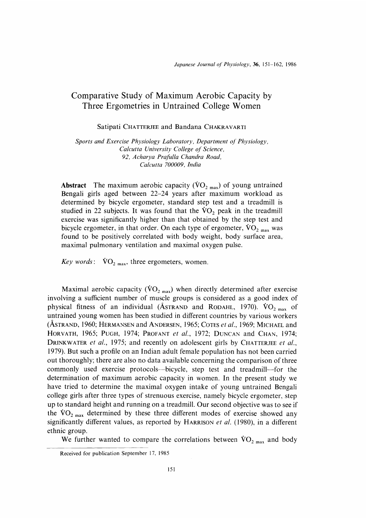# Comparative Study of Maximum Aerobic Capacity by Three Ergometries in Untrained College Women

Satipati CHATTERJEE and Bandana CHAKRAVARTI

Sports and Exercise Physiology Laboratory, Department of Physiology, Calcutta University College of Science, 92, Acharya Prafulla Chandra Road, Calcutta 700009, India

**Abstract** The maximum aerobic capacity ( $\text{VO}_{2 \text{ max}}$ ) of young untrained Bengali girls aged between 22-24 years after maximum workload as determined by bicycle ergometer, standard step test and a treadmill is studied in 22 subjects. It was found that the  $VO<sub>2</sub>$  peak in the treadmill exercise was significantly higher than that obtained by the step test and bicycle ergometer, in that order. On each type of ergometer,  $\rm{VO_{2\; max}}$  was found to be positively correlated with body weight, body surface area, maximal pulmonary ventilation and maximal oxygen pulse.

Key words:  $\text{VO}_{2 \text{ max}}$ , three ergometers, women.

Maximal aerobic capacity ( $\rm{VO}_{2~max}$ ) when directly determined after exercise involving a sufficient number of muscle groups is considered as a good index of physical fitness of an individual (ASTRAND and RODAHL, 1970).  $\rm{VO_{2\,max}}$  of untrained young women has been studied in different countries by various workers (ASTRAND, 1960; HERMANSEN and ANDERSEN, 1965; COTES *et al.*, 1969; MICHAEL and HORVATH, 1965; PUGH, 1974; PROFANT et al., 1972; DUNCAN and CHAN, 1974; DRINKWATER et al., 1975; and recently on adolescent girls by CHATTERJEE et al., 1979). But such a profile on an Indian adult female population has not been carried out thoroughly; there are also no data available concerning the comparison of three commonly used exercise protocols-bicycle, step test and treadmill-for the determination of maximum aerobic capacity in women. In the present study we have tried to determine the maximal oxygen intake of young untrained Bengali college girls after three types of strenuous exercise, namely bicycle ergometer, step up to standard height and running on a treadmill. Our second objective was to see if the  $\rm{VO_{2\,max}}$  determined by these three different modes of exercise showed any significantly different values, as reported by HARRISON et al. (1980), in a different ethnic group.

We further wanted to compare the correlations between  $\rm{VO_{2\,max}}$  and body

Received for publication September 17, 1985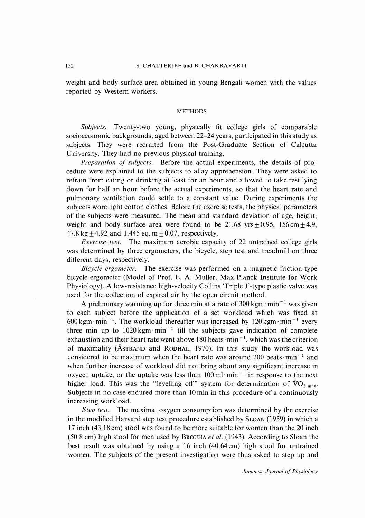weight and body surface area obtained in young Bengali women with the values reported by western workers.

## METHODS

Subjects. Twenty-two young, physically fit college girls of comparable socioeconomic backgrounds, aged between 22-24 years, participated in this study as subjects. They were recruited from the Post-Graduate Section of Calcutta University. They had no previous physical training.

Preparation of subjects. Before the actual experiments, the details of procedure were explained to the subjects to allay apprehension. They were asked to refrain from eating or drinking at least for an hour and allowed to take rest lying down for half an hour before the actual experiments, so that the heart rate and pulmonary ventilation could settle to a constant value. During experiments the subjects wore light cotton clothes. Before the exercise tests, the physical parameters of the subjects were measured. The mean and standard deviation of age, height, weight and body surface area were found to be  $21.68$  yrs  $\pm 0.95$ , 156 cm  $\pm 4.9$ , 47.8 kg  $\pm$  4.92 and 1.445 sq. m  $\pm$  0.07, respectively.

Exercise test. The maximum aerobic capacity of 22 untrained college girls was determined by three ergometers, the bicycle, step test and treadmill on three different days, respectively.

Bicycle ergometer. The exercise was performed on a magnetic friction-type bicycle ergometer (Model of Prof. E. A. Muller, Max Planck Institute for Work Physiology). A low-resistance high-velocity Collins `Triple J'-type plastic valve,was used for the collection of expired air by the open circuit method.

A preliminary warming up for three min at a rate of  $300 \text{ kgm} \cdot \text{min}^{-1}$  was given to each subject before the application of a set workload which was fixed at 600 kgm·min<sup>-1</sup>. The workload thereafter was increased by  $120 \text{ kgm}\cdot\text{min}^{-1}$  every three min up to  $1020 \text{ kgm} \cdot \text{min}^{-1}$  till the subjects gave indication of complete exhaustion and their heart rate went above 180 beats  $\cdot$  min<sup>-1</sup>, which was the criterion of maximality (AsTRAND and RODHAL, 1970). In this study the workload was considered to be maximum when the heart rate was around 200 beats  $\cdot$  min<sup>-1</sup> and when further increase of workload did not bring about any significant increase in oxygen uptake, or the uptake was less than  $100 \,\mathrm{ml·min}^{-1}$  in response to the next higher load. This was the "levelling off" system for determination of  $\rm{VO_{2\,max}}$ . Subjects in no case endured more than 10 min in this procedure of a continuously increasing workload.

Step test. The maximal oxygen consumption was determined by the exercise in the modified Harvard step test procedure established by SLOAN (1959) in which a 17 inch (43.18 cm) stool was found to be more suitable for women than the 20 inch  $(50.8 \text{ cm})$  high stool for men used by BROUHA *et al.* (1943). According to Sloan the best result was obtained by using a 16 inch (40.64 cm) high stool for untrained women. The subjects of the present investigation were thus asked to step up and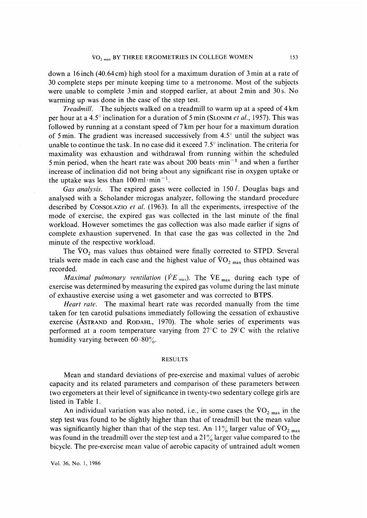down a 16 inch (40.64 cm) high stool for a maximum duration of 3 min at a rate of 30 complete steps per minute keeping time to a metronome. Most of the subjects were unable to complete 3 min and stopped earlier, at about 2 min and 30 s. No warming up was done in the case of the step test.

Treadmill. The subjects walked on a treadmill to warm up at a speed of 4 km per hour at a 4.5° inclination for a duration of 5 min (SLONIM et al., 1957). This was followed by running at a constant speed of 7 km per hour for a maximum duration of 5 min. The gradient was increased successively from 4.5° until the subject was unable to continue the task. In no case did it exceed 7.5° inclination. The criteria for maximality was exhaustion and withdrawal from running within the scheduled 5 min period, when the heart rate was about 200 beats  $\cdot$  min<sup>-1</sup> and when a further increase of inclination did not bring about any significant rise in oxygen uptake or the uptake was less than  $100 \text{ ml} \cdot \text{min}^{-1}$ .

Gas analysis. The expired gases were collected in  $150 l$ . Douglas bags and analysed with a Scholander microgas analyzer, following the standard procedure described by CONSOLAZIO *et al.* (1963). In all the experiments, irrespective of the mode of exercise, the expired gas was collected in the last minute of the final workload. However sometimes the gas collection was also made earlier if signs of complete exhaustion supervened. In that case the gas was collected in the 2nd minute of the respective workload.

The  $\rm \dot{V}O_{2}$  mas values thus obtained were finally corrected to STPD. Several trials were made in each case and the highest value of  $\rm \dot{VO}_{2~max}$  thus obtained was recorded.

Maximal pulmonary ventilation ( $\dot{V}E_{\text{max}}$ ). The  $\dot{V}E_{\text{max}}$  during each type of exercise was determined by measuring the expired gas volume during the last minute of exhaustive exercise using a wet gasometer and was corrected to BTPS.

Heart rate. The maximal heart rate was recorded manually from the time taken for ten carotid pulsations immediately following the cessation of exhaustive exercise (AsTRAND and RoDAHL, 1970). The whole series of experiments was performed at a room temperature varying from 27°C to 29°C with the relative humidity varying between  $60-80\%$ .

#### RESULTS

 Mean and standard deviations of pre-exercise and maximal values of aerobic capacity and its related parameters and comparison of these parameters between two ergometers at their level of significance in twenty-two sedentary college girls are listed in Table 1.

An individual variation was also noted, i.e., in some cases the  $VO_{2 \text{ max}}$  in the step test was found to be slightly higher than that of treadmill but the mean value was significantly higher than that of the step test. An  $11\%$  larger value of  $\rm{VO}_{2\;max}$ was found in the treadmill over the step test and a  $21\%$  larger value compared to the bicycle. The pre-exercise mean value of aerobic capacity of untrained adult women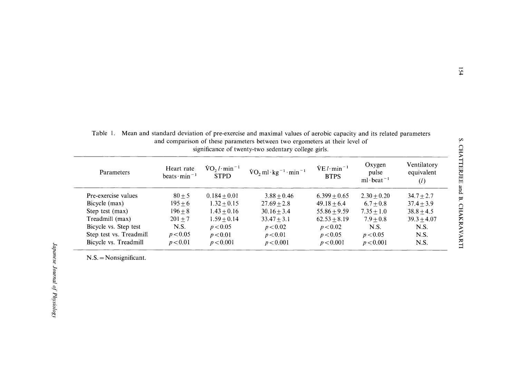| and comparison or these parameters between two ergometers at their level of<br>significance of twenty-two sedentary college girls. |                                               |                                                      |                                                      |                             |                                                       |                                  |
|------------------------------------------------------------------------------------------------------------------------------------|-----------------------------------------------|------------------------------------------------------|------------------------------------------------------|-----------------------------|-------------------------------------------------------|----------------------------------|
| Parameters                                                                                                                         | Heart rate<br>beats $\cdot$ min <sup>-1</sup> | $\text{VO}_2 / \cdot \text{min}^{-1}$<br><b>STPD</b> | $\text{VO}_2$ ml·kg <sup>-1</sup> ·min <sup>-1</sup> | $VE/l·min-1$<br><b>BTPS</b> | Oxygen<br>pulse<br>ml beat <sup><math>-1</math></sup> | Ventilatory<br>equivalent<br>(l) |
| Pre-exercise values                                                                                                                | $80 + 5$                                      | $0.184 + 0.01$                                       | $3.88 + 0.46$                                        | $6.399 + 0.65$              | $2.30 + 0.20$                                         | $34.7 + 2.7$                     |
| Bicycle (max)                                                                                                                      | $195 + 6$                                     | $1.32 + 0.15$                                        | $27.69 + 2.8$                                        | $49.18 + 6.4$               | $6.7 + 0.8$                                           | $37.4 + 3.9$                     |
| Step test (max)                                                                                                                    | $196 + 8$                                     | $1.43 + 0.16$                                        | $30.16 + 3.4$                                        | $55.86 + 9.59$              | $7.35 + 1.0$                                          | $38.8 + 4.5$                     |
| Treadmill (max)                                                                                                                    | $201 + 7$                                     | $1.59 + 0.14$                                        | $33.47 + 3.1$                                        | $62.53 + 8.19$              | $7.9 + 0.8$                                           | $39.3 + 4.07$                    |
| Bicycle vs. Step test                                                                                                              | N.S.                                          | p < 0.05                                             | p < 0.02                                             | p < 0.02                    | N.S.                                                  | N.S.                             |
| Step test vs. Treadmill                                                                                                            | p < 0.05                                      | p < 0.01                                             | p < 0.01                                             | p < 0.05                    | p < 0.05                                              | N.S.                             |
| Bicycle vs. Treadmill                                                                                                              | p < 0.01                                      | p < 0.001                                            | p < 0.001                                            | p < 0.001                   | p < 0.001                                             | N.S.                             |

Table 1. Mean and standard deviation of pre-exercise and maximal values of aerobic capacity and its related parameters and comparison of these parameters between two ergometers at their level of

 $N.S. = Nonsignificant.$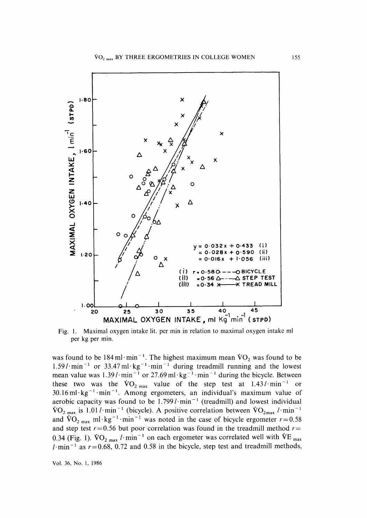

Fig. 1. Maximal oxygen intake lit, per min in relation to maximal oxygen intake ml per kg per min.

was found to be 184 ml·min<sup>-1</sup>. The highest maximum mean  $\rm \dot{V}O_{2}$  was found to be  $1.59 \cdot l \cdot \text{min}^{-1}$  or  $33.47 \text{ ml} \cdot \text{kg}^{-1} \cdot \text{min}^{-1}$  during treadmill running and the lowest mean value was  $1.39 \cdot \text{min}^{-1}$  or  $27.69 \text{ ml} \cdot \text{kg}^{-1} \cdot \text{min}^{-1}$  during the bicycle. Between these two was the  $\rm{VO_{2\,max}}$  value of the step test at 1.43 l · min<sup>-1</sup> or  $30.16$  ml·kg<sup>-1</sup>·min<sup>-1</sup>. Among ergometers, an individual's maximum value of aerobic capacity was found to be  $1.799 \cdot \text{min}^{-1}$  (treadmill) and lowest individual  $VO_{2 \text{ max}}$  is 1.01 l · min<sup>-1</sup> (bicycle). A positive correlation between  $VO_{2 \text{ max}}$  l · min<sup>-1</sup> and  $\rm{VO_{2\,max}\,ml\cdot kg^{-1}\cdot min^{-1}}$  was noted in the case of bicycle ergometer  $r=0.58$ and step test  $r=0.56$  but poor correlation was found in the treadmill method  $r=$ 0.34 (Fig. 1).  $\rm \dot{V}O_{2\,max}$  l · min<sup>-1</sup> on each ergometer was correlated well with  $\rm \dot{V}E_{max}$ l · min<sup>-1</sup> as  $r=0.68$ , 0.72 and 0.58 in the bicycle, step test and treadmill methods,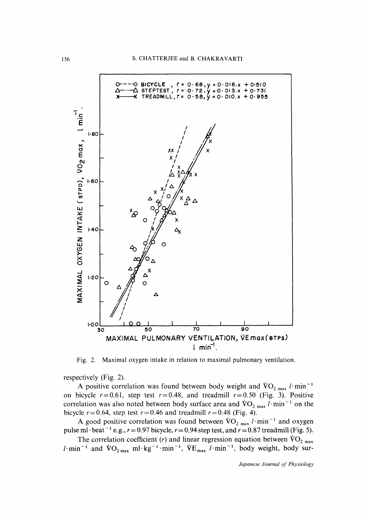

Fig. 2. Maximal oxygen intake in relation to maximal pulmonary ventilation.

respectively (Fig. 2).

A positive correlation was found between body weight and  $\rm{VO_{2\,max}\,l\cdot min^{-1}}$ on bicycle  $r=0.61$ , step test  $r=0.48$ , and treadmill  $r=0.50$  (Fig. 3). Positive correlation was also noted between body surface area and  $\rm{VO_{2\,max}}$  l·min<sup>-1</sup> on the bicycle  $r = 0.64$ , step test  $r = 0.46$  and treadmill  $r = 0.48$  (Fig. 4).

A good positive correlation was found between  $\rm{VO_{2\,max}}$  l·min<sup>-1</sup> and oxygen pulse ml·beat<sup>-1</sup> e.g.,  $r = 0.97$  bicycle,  $r = 0.94$  step test, and  $r = 0.87$  treadmill (Fig. 5).

The correlation coefficient (r) and linear regression equation between  $\rm{VO}_{2\;max}$  $l$  min<sup>-1</sup> and  $\text{VO}_{2\text{ max}}$  ml  $\text{kg}^{-1}$  min<sup>-1</sup>,  $\text{VE}_{\text{max}}$   $l$  min<sup>-1</sup>, body weight, body sur-

Japanese Journal of Physiology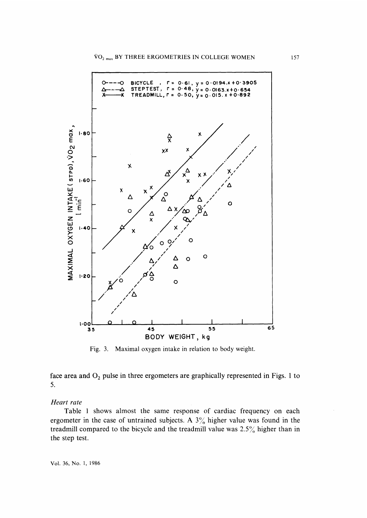

Fig. 3. Maximal oxygen intake in relation to body weight.

face area and  $O_2$  pulse in three ergometers are graphically represented in Figs. 1 to 5.

## Heart rate

Table 1 shows almost the same response of cardiac frequency on each ergometer in the case of untrained subjects. A  $3\%$  higher value was found in the treadmill compared to the bicycle and the treadmill value was 2.5% higher than in the step test.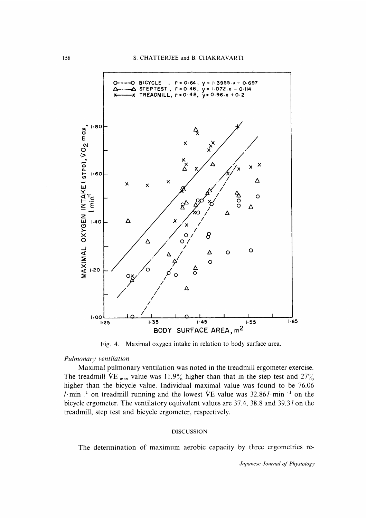

Fig. 4. Maximal oxygen intake in relation to body surface area.

#### Pulmonary ventilation

Maximal pulmonary ventilation was noted in the treadmill ergometer exercise. The treadmill VE  $_{\text{max}}$  value was 11.9% higher than that in the step test and 27% higher than the bicycle value. Individual maximal value was found to be 76.06 l min<sup>-1</sup> on treadmill running and the lowest VE value was  $32.86$ l min<sup>-1</sup> on the bicycle ergometer. The ventilatory equivalent values are 37.4, 38.8 and 39.3 l on the treadmill, step test and bicycle ergometer, respectively.

## DISCUSSION

The determination of maximum aerobic capacity by three ergometries re-

Japanese Journal of Physiology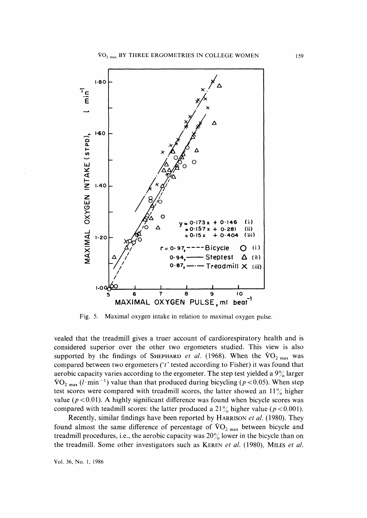

Fig. 5. Maximal oxygen intake in relation to maximal oxygen pulse.

vealed that the treadmill gives a truer account of cardiorespiratory health and is considered superior over the other two ergometers studied. This view is also supported by the findings of SHEPHARD *et al.* (1968). When the  $\rm{VO}_{2~max}$  was compared between two ergometers ( $i$ <sup>t</sup> tested according to Fisher) it was found that aerobic capacity varies according to the ergometer. The step test yielded a  $9\%$  larger  $\text{VO}_{2\text{ max}}$  (l·min<sup>-1</sup>) value than that produced during bicycling ( $p < 0.05$ ). When step test scores were compared with treadmill scores, the latter showed an  $11\%$  higher value ( $p < 0.01$ ). A highly significant difference was found when bicycle scores was compared with teadmill scores: the latter produced a  $21\%$  higher value ( $p < 0.001$ ).

Recently, similar findings have been reported by HARRISON et al. (1980). They found almost the same difference of percentage of  $\rm{VO}_{2 \, max}$  between bicycle and treadmill procedures, i.e., the aerobic capacity was  $20\%$  lower in the bicycle than on the treadmill. Some other investigators such as KEREN *et al.* (1980), MILES *et al.*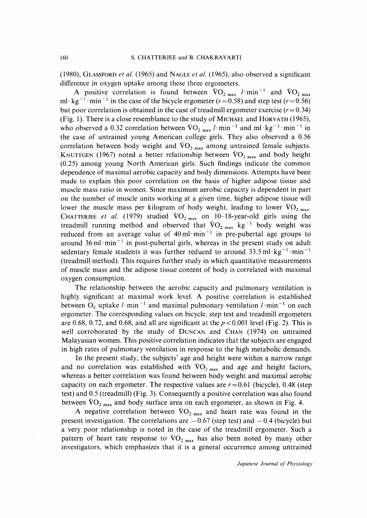(1980), GLASSFORD et al. (1965) and NAGLE et al. (1965), also observed a significant difference in oxygen uptake among these three ergometers.

A positive correlation is found between  $\rm{VO}_{2 \text{ max}}$  l min<sup>-1</sup> and  $\rm{VO}_{2 \text{ max}}$ ml · kg<sup>-1</sup> · min<sup>-1</sup> in the case of the bicycle ergometer ( $r=0.58$ ) and step test ( $r=0.56$ ) but poor correlation is obtained in the case of treadmill ergometer exercise  $(r=0.34)$ (Fig. 1). There is a close resemblance to the study of MICHAEL and HORVATH (1965), who observed a 0.32 correlation between  $\rm{VO}_{2 \text{ max}}$  l·min<sup>-1</sup> and ml·kg<sup>-1</sup>·min<sup>-1</sup> in the case of untrained young American college girls. They also observed a 0.56 correlation between body weight and  $\rm{VO}_{2\,max}$  among untrained female subjects. KNUTTGEN (1967) noted a better relationship between  $\rm{VO}_{2\; max}$  and body height (0.25) among young North American girls. Such findings indicate the common dependence of maximal aerobic capacity and body dimensions. Attempts have been made to explain this poor correlation on the basis of higher adipose tissue and muscle mass ratio in women. Since maximum aerobic capacity is dependent in part on the number of muscle units working at a given time, higher adipose tissue will lower the muscle mass per kilogram of body weight, leading to lower  $\rm{VO}_{2~max}$ . CHATTERJEE et al. (1979) studied  $\rm{VO_{2\,max}}$  on 10-18-year-old girls using the treadmill running method and observed that  $\rm \dot{V}O_{2 \, max}$  kg<sup>-1</sup> body weight was reduced from an average value of  $40 \text{ ml} \cdot \text{min}^{-1}$  in pre-pubertal age groups to around  $36 \text{ ml} \cdot \text{min}^{-1}$  in post-pubertal girls, whereas in the present study on adult sedentary female students it was further reduced to around  $33.5 \text{ ml} \cdot \text{kg}^{-1} \cdot \text{min}^{-1}$ (treadmill method). This requires further study in which quantitative measurements of muscle mass and the adipose tissue content of body is correlated with maximal oxygen consumption.

The relationship between the aerobic capacity and pulmonary ventilation is highly significant at maximal work level. A positive correlation is established between O<sub>2</sub> uptake l · min<sup>-1</sup> and maximal pulmonary ventilation l · min<sup>-1</sup> on each ergometer. The corresponding values on bicycle, step test and treadmill ergometers are 0.68, 0.72, and 0.68, and all are significant at the  $p < 0.001$  level (Fig. 2). This is well corroborated by the study of DUNCAN and CHAN (1974) on untrained Malayasian women. This positive correlation indicates that the subjects are engaged in high rates of pulmonary ventilation in response to the high metabolic demands.

In the present study, the subjects' age and height were within a narrow range and no correlation was established with  $\rm{VO}_{2~max}$  and age and height factors, whereas a better correlation was found between body weight and maximal aerobic capacity on each ergometer. The respective values are  $r=0.61$  (bicycle), 0.48 (step test) and 0.5 (treadmill) (Fig. 3). Consequently a positive correlation was also found between  $\rm{VO_{2\,max}}$  and body surface area on each ergometer, as shown in Fig. 4.

A negative correlation between  $VO_{2 \text{ max}}$  and heart rate was found in the present investigation. The correlations are  $-0.67$  (step test) and  $-0.4$  (bicycle) but a very poor relationship is noted in the case of the treadmill ergometer. Such a pattern of heart rate response to  $\rm{VO_{2\,max}}$  has also been noted by many other investigators, which emphasizes that it is a general occurrence among untrained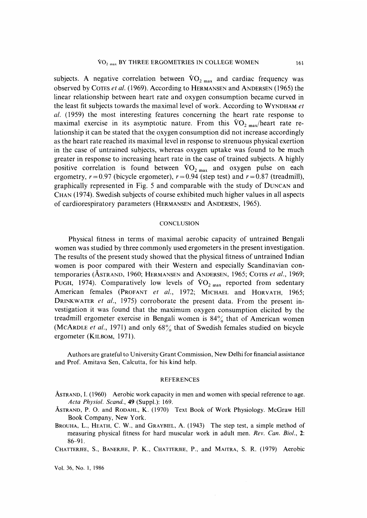subjects. A negative correlation between  $\rm{VO}_{2 \text{ max}}$  and cardiac frequency was observed by COTES *et al.* (1969). According to HERMANSEN and ANDERSEN (1965) the linear relationship between heart rate and oxygen consumption became curved in the least fit subjects towards the maximal level of work. According to WYNDHAM et al. (1959) the most interesting features concerning the heart rate response to maximal exercise in its asymptotic nature. From this  $VO_{2\text{ max}}/$ heart rate relationship it can be stated that the oxygen consumption did not increase accordingly as the heart rate reached its maximal level in response to strenuous physical exertion in the case of untrained subjects, whereas oxygen uptake was found to be much greater in response to increasing heart rate in the case of trained subjects. A highly positive correlation is found between  $\rm{VO}_{2 \text{ max}}$  and oxygen pulse on each ergometry,  $r = 0.97$  (bicycle ergometer),  $r = 0.94$  (step test) and  $r = 0.87$  (treadmill), graphically represented in Fig. 5 and comparable with the study of DUNCAN and CHAN (1974). Swedish subjects of course exhibited much higher values in all aspects of cardiorespiratory parameters (HERMANSEN and ANDERSEN, 1965).

## **CONCLUSION**

 Physical fitness in terms of maximal aerobic capacity of untrained Bengali women was studied by three commonly used ergometers in the present investigation. The results of the present study showed that the physical fitness of untrained Indian women is poor compared with their Western and especially Scandinavian contemporaries (ÅSTRAND, 1960; HERMANSEN and ANDERSEN, 1965; COTES et al., 1969; PUGH, 1974). Comparatively low levels of  $\rm{VO}_{2 \text{ max}}$  reported from sedentary American females (PROFANT et al., 1972; MICHAEL and HORVATH, 1965; DRINKWATER et al., 1975) corroborate the present data. From the present investigation it was found that the maximum oxygen consumption elicited by the treadmill ergometer exercise in Bengali women is  $84\%$  that of American women (MCARDLE *et al.*, 1971) and only  $68\%$  that of Swedish females studied on bicycle ergometer (KILBOM, 1971).

 Authors are grateful to University Grant Commission, New Delhi for financial assistance and Prof. Amitava Sen, Calcutta, for his kind help.

#### REFERENCES

- ASTRAND, I.(1960) Aerobic work capacity in men and women with special reference to age. Acta Physiol. Scand., 49 (Suppl.): 169.
- ASTRAND, P. 0. and RODAHL, K. (1970) Text Book of Work Physiology. McGraw Hill Book Company, New York.
- BROUHA, L., HEATH, C. W., and GRAYBIEL, A. (1943) The step test, a simple method of measuring physical fitness for hard muscular work in adult men. Rev. Can. Biol., 2: 86-91.

CHATTERJEE, S., BANERJEE, P. K., CHATTERJEE, P., and MAITRA, S. R. (1979) Aerobic